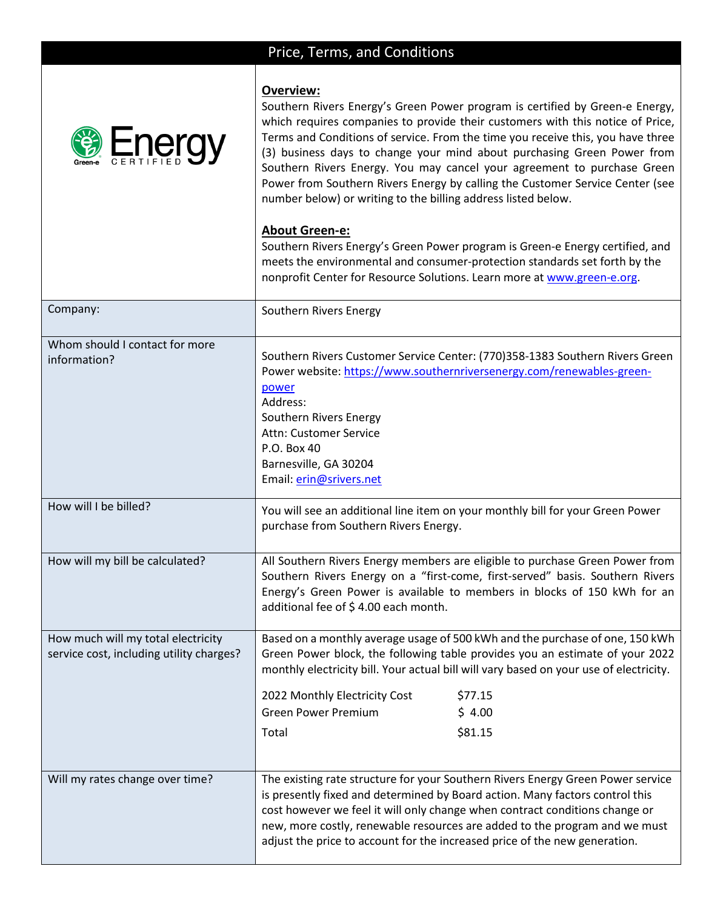## Price, Terms, and Conditions



Southern Rivers Energy's Green Power program is certified by Green-e Energy, which requires companies to provide their customers with this notice of Price, Terms and Conditions of service. From the time you receive this, you have three (3) business days to change your mind about purchasing Green Power from Southern Rivers Energy. You may cancel your agreement to purchase Green Power from Southern Rivers Energy by calling the Customer Service Center (see number below) or writing to the billing address listed below.

## **About Green-e:**

**Overview:**

Southern Rivers Energy's Green Power program is Green-e Energy certified, and meets the environmental and consumer-protection standards set forth by the nonprofit Center for Resource Solutions. Learn more at [www.green-e.org.](http://www.green-e.org/)

| Company:                                 | Southern Rivers Energy                                                                                                                                          |  |  |  |
|------------------------------------------|-----------------------------------------------------------------------------------------------------------------------------------------------------------------|--|--|--|
| Whom should I contact for more           |                                                                                                                                                                 |  |  |  |
| information?                             | Southern Rivers Customer Service Center: (770)358-1383 Southern Rivers Green                                                                                    |  |  |  |
|                                          | Power website: https://www.southernriversenergy.com/renewables-green-                                                                                           |  |  |  |
|                                          | power<br>Address:                                                                                                                                               |  |  |  |
|                                          | Southern Rivers Energy                                                                                                                                          |  |  |  |
|                                          | Attn: Customer Service                                                                                                                                          |  |  |  |
|                                          | P.O. Box 40                                                                                                                                                     |  |  |  |
|                                          | Barnesville, GA 30204                                                                                                                                           |  |  |  |
|                                          | Email: erin@srivers.net                                                                                                                                         |  |  |  |
| How will I be billed?                    |                                                                                                                                                                 |  |  |  |
|                                          | You will see an additional line item on your monthly bill for your Green Power<br>purchase from Southern Rivers Energy.                                         |  |  |  |
|                                          |                                                                                                                                                                 |  |  |  |
| How will my bill be calculated?          | All Southern Rivers Energy members are eligible to purchase Green Power from                                                                                    |  |  |  |
|                                          | Southern Rivers Energy on a "first-come, first-served" basis. Southern Rivers                                                                                   |  |  |  |
|                                          | Energy's Green Power is available to members in blocks of 150 kWh for an                                                                                        |  |  |  |
|                                          | additional fee of \$4.00 each month.                                                                                                                            |  |  |  |
| How much will my total electricity       | Based on a monthly average usage of 500 kWh and the purchase of one, 150 kWh                                                                                    |  |  |  |
| service cost, including utility charges? | Green Power block, the following table provides you an estimate of your 2022                                                                                    |  |  |  |
|                                          | monthly electricity bill. Your actual bill will vary based on your use of electricity.                                                                          |  |  |  |
|                                          | 2022 Monthly Electricity Cost<br>\$77.15                                                                                                                        |  |  |  |
|                                          | <b>Green Power Premium</b><br>\$4.00                                                                                                                            |  |  |  |
|                                          |                                                                                                                                                                 |  |  |  |
|                                          | \$81.15<br>Total                                                                                                                                                |  |  |  |
|                                          |                                                                                                                                                                 |  |  |  |
| Will my rates change over time?          | The existing rate structure for your Southern Rivers Energy Green Power service<br>is presently fixed and determined by Board action. Many factors control this |  |  |  |
|                                          |                                                                                                                                                                 |  |  |  |
|                                          | cost however we feel it will only change when contract conditions change or                                                                                     |  |  |  |
|                                          | new, more costly, renewable resources are added to the program and we must                                                                                      |  |  |  |
|                                          | adjust the price to account for the increased price of the new generation.                                                                                      |  |  |  |
|                                          |                                                                                                                                                                 |  |  |  |